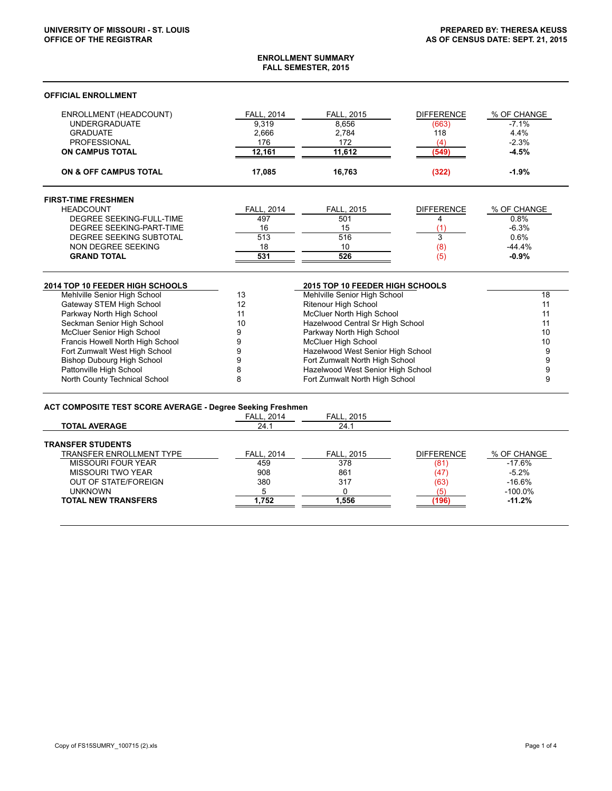### **ENROLLMENT SUMMARY FALL SEMESTER, 2015**

## **OFFICIAL ENROLLMENT**

| FALL, 2014<br>9,319<br>2,666<br>176<br>12,161<br>17,085<br>FALL, 2014<br>497<br>16<br>513<br>18<br>531 | FALL, 2015<br>8,656<br>2,784<br>172<br>11,612<br>16,763<br>FALL, 2015<br>501<br>15<br>516<br>10<br>526 | <b>DIFFERENCE</b><br>(663)<br>118<br>(4)<br>(549)<br>(322)<br><b>DIFFERENCE</b><br>4<br>(1<br>3<br>(8)<br>(5) | % OF CHANGE<br>$-7.1%$<br>4.4%<br>$-2.3%$<br>$-4.5%$<br>$-1.9%$<br>% OF CHANGE<br>0.8%<br>$-6.3%$<br>0.6%<br>$-44.4%$<br>$-0.9%$                                                                                                                                                                                                              |
|--------------------------------------------------------------------------------------------------------|--------------------------------------------------------------------------------------------------------|---------------------------------------------------------------------------------------------------------------|-----------------------------------------------------------------------------------------------------------------------------------------------------------------------------------------------------------------------------------------------------------------------------------------------------------------------------------------------|
|                                                                                                        |                                                                                                        |                                                                                                               |                                                                                                                                                                                                                                                                                                                                               |
|                                                                                                        |                                                                                                        |                                                                                                               |                                                                                                                                                                                                                                                                                                                                               |
|                                                                                                        |                                                                                                        |                                                                                                               |                                                                                                                                                                                                                                                                                                                                               |
|                                                                                                        |                                                                                                        |                                                                                                               |                                                                                                                                                                                                                                                                                                                                               |
|                                                                                                        |                                                                                                        |                                                                                                               |                                                                                                                                                                                                                                                                                                                                               |
|                                                                                                        |                                                                                                        |                                                                                                               |                                                                                                                                                                                                                                                                                                                                               |
|                                                                                                        |                                                                                                        |                                                                                                               |                                                                                                                                                                                                                                                                                                                                               |
|                                                                                                        |                                                                                                        |                                                                                                               |                                                                                                                                                                                                                                                                                                                                               |
|                                                                                                        |                                                                                                        |                                                                                                               |                                                                                                                                                                                                                                                                                                                                               |
|                                                                                                        |                                                                                                        |                                                                                                               |                                                                                                                                                                                                                                                                                                                                               |
|                                                                                                        |                                                                                                        |                                                                                                               |                                                                                                                                                                                                                                                                                                                                               |
|                                                                                                        |                                                                                                        |                                                                                                               |                                                                                                                                                                                                                                                                                                                                               |
|                                                                                                        | 2015 TOP 10 FEEDER HIGH SCHOOLS                                                                        |                                                                                                               |                                                                                                                                                                                                                                                                                                                                               |
|                                                                                                        |                                                                                                        |                                                                                                               | 18                                                                                                                                                                                                                                                                                                                                            |
|                                                                                                        | Ritenour High School                                                                                   |                                                                                                               | 11                                                                                                                                                                                                                                                                                                                                            |
|                                                                                                        |                                                                                                        | 11                                                                                                            |                                                                                                                                                                                                                                                                                                                                               |
|                                                                                                        |                                                                                                        | 11                                                                                                            |                                                                                                                                                                                                                                                                                                                                               |
|                                                                                                        |                                                                                                        | 10                                                                                                            |                                                                                                                                                                                                                                                                                                                                               |
|                                                                                                        |                                                                                                        | 10                                                                                                            |                                                                                                                                                                                                                                                                                                                                               |
|                                                                                                        |                                                                                                        | 9                                                                                                             |                                                                                                                                                                                                                                                                                                                                               |
|                                                                                                        |                                                                                                        | 9                                                                                                             |                                                                                                                                                                                                                                                                                                                                               |
|                                                                                                        |                                                                                                        | 9                                                                                                             |                                                                                                                                                                                                                                                                                                                                               |
|                                                                                                        |                                                                                                        | 9                                                                                                             |                                                                                                                                                                                                                                                                                                                                               |
|                                                                                                        |                                                                                                        | <b>McCluer High School</b>                                                                                    | Mehlville Senior High School<br>McCluer North High School<br>Hazelwood Central Sr High School<br>Parkway North High School<br>Hazelwood West Senior High School<br>Fort Zumwalt North High School<br>Hazelwood West Senior High School<br>Fort Zumwalt North High School<br><b>ACT COMPOSITE TEST SCORE AVERAGE - Degree Seeking Freshmen</b> |

| TOTAL AVERAGE                   | 24.1              | <u>24.1</u>       |                   |             |
|---------------------------------|-------------------|-------------------|-------------------|-------------|
| <b>TRANSFER STUDENTS</b>        |                   |                   |                   |             |
| <b>TRANSFER ENROLLMENT TYPE</b> | <b>FALL, 2014</b> | <b>FALL. 2015</b> | <b>DIFFERENCE</b> | % OF CHANGE |
| MISSOURI FOUR YEAR              | 459               | 378               | (81               | $-17.6%$    |
| MISSOURI TWO YEAR               | 908               | 861               | (47)              | $-5.2\%$    |
| <b>OUT OF STATE/FOREIGN</b>     | 380               | 317               | (63)              | $-16.6%$    |
| <b>UNKNOWN</b>                  |                   |                   |                   | $-100.0\%$  |
| <b>TOTAL NEW TRANSFERS</b>      | .752              | 1.556             | (196              | $-11.2%$    |
|                                 |                   |                   |                   |             |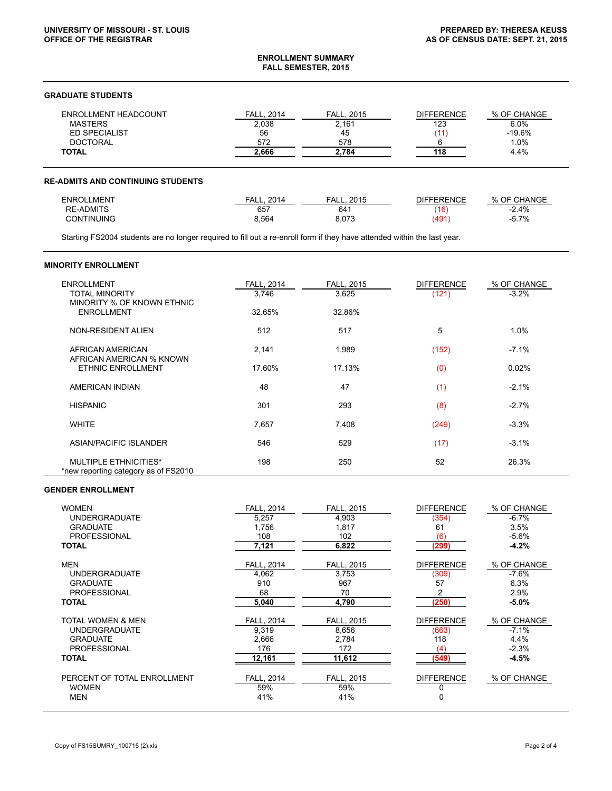#### **ENROLLMENT SUMMARY FALL SEMESTER, 2015**

### **GRADUATE STUDENTS**

| ENROLLMENT HEADCOUNT | <b>FALL. 2014</b> | <b>FALL. 2015</b> | <b>DIFFERENCE</b> | % OF CHANGE |
|----------------------|-------------------|-------------------|-------------------|-------------|
| <b>MASTERS</b>       | 2,038             | 2,161             | 123               | 6.0%        |
| <b>ED SPECIALIST</b> | 56                | 45                |                   | $-19.6%$    |
| <b>DOCTORAL</b>      | 572               | 578               |                   | $1.0\%$     |
| <b>TOTAL</b>         | 2.666             | 2.784             | 118               | 4.4%        |

# **RE-ADMITS AND CONTINUING STUDENTS**

| <b>ENROLLMENT</b> | 2014<br><b>FALL</b> | 2015<br>ΞΔ.<br>. | <b>DIFFERENCE</b> | % OF CHANGE |
|-------------------|---------------------|------------------|-------------------|-------------|
| <b>RE-ADMITS</b>  | 657                 | 641              | (16)              | 2.4%        |
| <b>CONTINUING</b> | 3,564               | 8,073            | '491              | 5.7%        |

Starting FS2004 students are no longer required to fill out a re-enroll form if they have attended within the last year.

# **MINORITY ENROLLMENT**

| <b>ENROLLMENT</b><br><b>TOTAL MINORITY</b><br>MINORITY % OF KNOWN ETHNIC<br><b>ENROLLMENT</b> | <b>FALL, 2014</b><br>3,746<br>32.65% | <b>FALL, 2015</b><br>3,625<br>32.86% | <b>DIFFERENCE</b><br>(121) | % OF CHANGE<br>$-3.2%$ |
|-----------------------------------------------------------------------------------------------|--------------------------------------|--------------------------------------|----------------------------|------------------------|
| NON-RESIDENT ALIEN                                                                            | 512                                  | 517                                  | 5                          | 1.0%                   |
| AFRICAN AMERICAN<br>AFRICAN AMERICAN % KNOWN                                                  | 2,141                                | 1,989                                | (152)                      | $-7.1%$                |
| <b>ETHNIC ENROLLMENT</b>                                                                      | 17.60%                               | 17.13%                               | (0)                        | 0.02%                  |
| AMERICAN INDIAN                                                                               | 48                                   | 47                                   | (1)                        | $-2.1%$                |
| <b>HISPANIC</b>                                                                               | 301                                  | 293                                  | (8)                        | $-2.7%$                |
| <b>WHITE</b>                                                                                  | 7,657                                | 7,408                                | (249)                      | $-3.3%$                |
| ASIAN/PACIFIC ISLANDER                                                                        | 546                                  | 529                                  | (17)                       | $-3.1%$                |
| <b>MULTIPLE ETHNICITIES*</b><br>*new reporting category as of FS2010                          | 198                                  | 250                                  | 52                         | 26.3%                  |

# **GENDER ENROLLMENT**

| <b>WOMEN</b>                | <b>FALL, 2014</b> | <b>FALL. 2015</b> | <b>DIFFERENCE</b> | % OF CHANGE |
|-----------------------------|-------------------|-------------------|-------------------|-------------|
| <b>UNDERGRADUATE</b>        | 5,257             | 4,903             | (354)             | $-6.7%$     |
| <b>GRADUATE</b>             | 1,756             | 1,817             | 61                | 3.5%        |
| <b>PROFESSIONAL</b>         | 108               | 102               | (6)               | $-5.6%$     |
| <b>TOTAL</b>                | 7,121             | 6,822             | (299)             | $-4.2%$     |
| <b>MEN</b>                  | FALL, 2014        | <b>FALL, 2015</b> | <b>DIFFERENCE</b> | % OF CHANGE |
| <b>UNDERGRADUATE</b>        | 4.062             | 3.753             | (309)             | $-7.6\%$    |
| <b>GRADUATE</b>             | 910               | 967               | 57                | 6.3%        |
| <b>PROFESSIONAL</b>         | 68                | 70                |                   | 2.9%        |
| <b>TOTAL</b>                | 5,040             | 4.790             | (250)             | $-5.0\%$    |
|                             |                   |                   |                   |             |
| TOTAL WOMEN & MEN           | <b>FALL, 2014</b> | <b>FALL, 2015</b> | <b>DIFFERENCE</b> | % OF CHANGE |
| <b>UNDERGRADUATE</b>        | 9,319             | 8,656             | (663)             | $-7.1%$     |
| <b>GRADUATE</b>             | 2,666             | 2,784             | 118               | 4.4%        |
| <b>PROFESSIONAL</b>         | 176               | 172               | (4)               | $-2.3%$     |
| <b>TOTAL</b>                | 12,161            | 11,612            | (549)             | $-4.5%$     |
|                             |                   |                   |                   |             |
| PERCENT OF TOTAL ENROLLMENT | FALL, 2014        | <b>FALL, 2015</b> | <b>DIFFERENCE</b> | % OF CHANGE |
| <b>WOMEN</b>                | 59%               | 59%               |                   |             |
| <b>MEN</b>                  | 41%               | 41%               | 0                 |             |
|                             |                   |                   |                   |             |